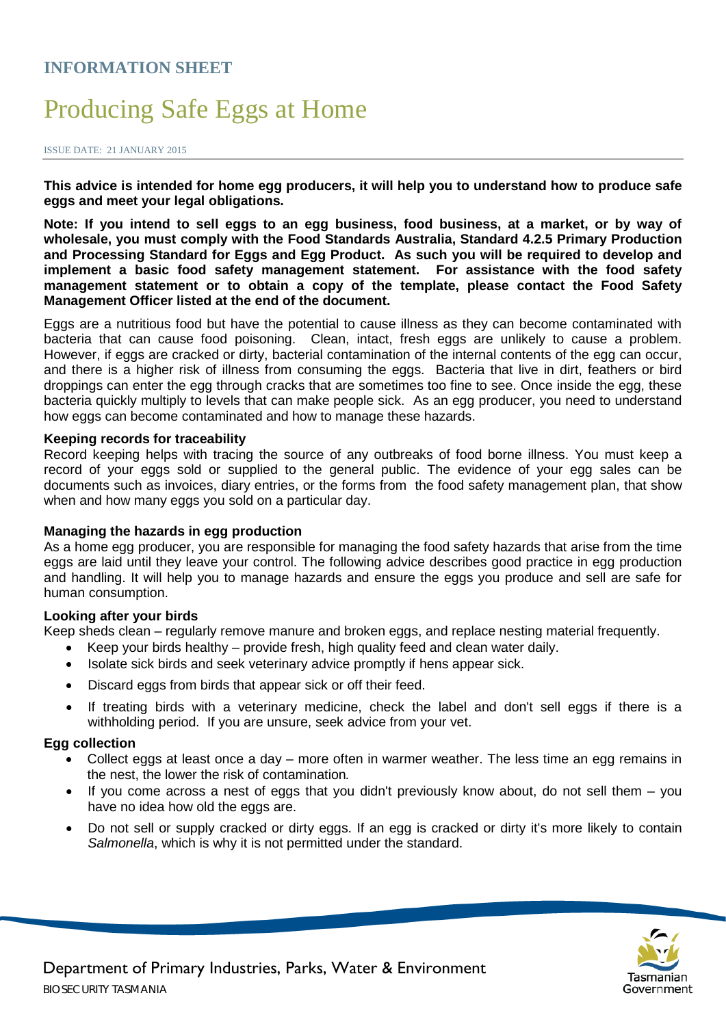# **INFORMATION SHEET**

# Producing Safe Eggs at Home

ISSUE DATE: 21 JANUARY 2015

**This advice is intended for home egg producers, it will help you to understand how to produce safe eggs and meet your legal obligations.**

**Note: If you intend to sell eggs to an egg business, food business, at a market, or by way of wholesale, you must comply with the Food Standards Australia, Standard 4.2.5 Primary Production and Processing Standard for Eggs and Egg Product. As such you will be required to develop and implement a basic food safety management statement. For assistance with the food safety management statement or to obtain a copy of the template, please contact the Food Safety Management Officer listed at the end of the document.** 

Eggs are a nutritious food but have the potential to cause illness as they can become contaminated with bacteria that can cause food poisoning. Clean, intact, fresh eggs are unlikely to cause a problem. However, if eggs are cracked or dirty, bacterial contamination of the internal contents of the egg can occur, and there is a higher risk of illness from consuming the eggs. Bacteria that live in dirt, feathers or bird droppings can enter the egg through cracks that are sometimes too fine to see. Once inside the egg, these bacteria quickly multiply to levels that can make people sick. As an egg producer, you need to understand how eggs can become contaminated and how to manage these hazards.

#### **Keeping records for traceability**

Record keeping helps with tracing the source of any outbreaks of food borne illness. You must keep a record of your eggs sold or supplied to the general public. The evidence of your egg sales can be documents such as invoices, diary entries, or the forms from the food safety management plan, that show when and how many eggs you sold on a particular day.

### **Managing the hazards in egg production**

As a home egg producer, you are responsible for managing the food safety hazards that arise from the time eggs are laid until they leave your control. The following advice describes good practice in egg production and handling. It will help you to manage hazards and ensure the eggs you produce and sell are safe for human consumption.

### **Looking after your birds**

Keep sheds clean – regularly remove manure and broken eggs, and replace nesting material frequently.

- Keep your birds healthy  $-$  provide fresh, high quality feed and clean water daily.
- Isolate sick birds and seek veterinary advice promptly if hens appear sick.
- Discard eggs from birds that appear sick or off their feed.
- If treating birds with a veterinary medicine, check the label and don't sell eggs if there is a withholding period. If you are unsure, seek advice from your vet.

#### **Egg collection**

- Collect eggs at least once a day more often in warmer weather. The less time an egg remains in the nest, the lower the risk of contamination*.*
- If you come across a nest of eggs that you didn't previously know about, do not sell them  $-$  you have no idea how old the eggs are.
- Do not sell or supply cracked or dirty eggs. If an egg is cracked or dirty it's more likely to contain *Salmonella*, which is why it is not permitted under the standard.